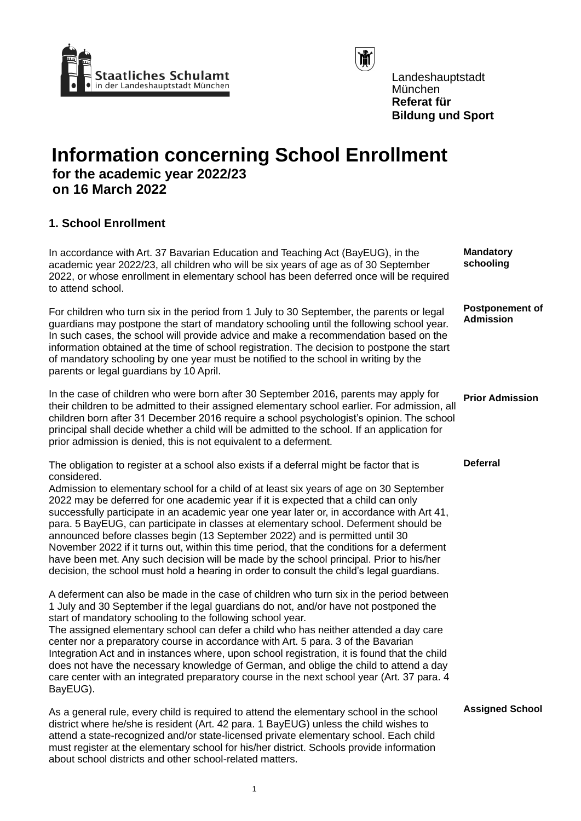



Landeshauptstadt München **Referat für Bildung und Sport**

# **Information concerning School Enrollment for the academic year 2022/23 on 16 March 2022**

# **1. School Enrollment**

| In accordance with Art. 37 Bavarian Education and Teaching Act (BayEUG), in the<br>academic year 2022/23, all children who will be six years of age as of 30 September<br>2022, or whose enrollment in elementary school has been deferred once will be required<br>to attend school.                                                                                                                                                                                                                                                                                                                                                                                                                                                                                                                                                                 | <b>Mandatory</b><br>schooling       |
|-------------------------------------------------------------------------------------------------------------------------------------------------------------------------------------------------------------------------------------------------------------------------------------------------------------------------------------------------------------------------------------------------------------------------------------------------------------------------------------------------------------------------------------------------------------------------------------------------------------------------------------------------------------------------------------------------------------------------------------------------------------------------------------------------------------------------------------------------------|-------------------------------------|
| For children who turn six in the period from 1 July to 30 September, the parents or legal<br>guardians may postpone the start of mandatory schooling until the following school year.<br>In such cases, the school will provide advice and make a recommendation based on the<br>information obtained at the time of school registration. The decision to postpone the start<br>of mandatory schooling by one year must be notified to the school in writing by the<br>parents or legal guardians by 10 April.                                                                                                                                                                                                                                                                                                                                        | <b>Postponement of</b><br>Admission |
| In the case of children who were born after 30 September 2016, parents may apply for<br>their children to be admitted to their assigned elementary school earlier. For admission, all<br>children born after 31 December 2016 require a school psychologist's opinion. The school<br>principal shall decide whether a child will be admitted to the school. If an application for<br>prior admission is denied, this is not equivalent to a deferment.                                                                                                                                                                                                                                                                                                                                                                                                | <b>Prior Admission</b>              |
| The obligation to register at a school also exists if a deferral might be factor that is<br>considered.<br>Admission to elementary school for a child of at least six years of age on 30 September<br>2022 may be deferred for one academic year if it is expected that a child can only<br>successfully participate in an academic year one year later or, in accordance with Art 41,<br>para. 5 BayEUG, can participate in classes at elementary school. Deferment should be<br>announced before classes begin (13 September 2022) and is permitted until 30<br>November 2022 if it turns out, within this time period, that the conditions for a deferment<br>have been met. Any such decision will be made by the school principal. Prior to his/her<br>decision, the school must hold a hearing in order to consult the child's legal guardians. | <b>Deferral</b>                     |
| A deferment can also be made in the case of children who turn six in the period between<br>1 July and 30 September if the legal guardians do not, and/or have not postponed the<br>start of mandatory schooling to the following school year.<br>The assigned elementary school can defer a child who has neither attended a day care<br>center nor a preparatory course in accordance with Art. 5 para. 3 of the Bavarian<br>Integration Act and in instances where, upon school registration, it is found that the child<br>does not have the necessary knowledge of German, and oblige the child to attend a day<br>care center with an integrated preparatory course in the next school year (Art. 37 para. 4<br>BayEUG).                                                                                                                         |                                     |
| As a general rule, every child is required to attend the elementary school in the school<br>district where he/she is resident (Art. 42 para. 1 BayEUG) unless the child wishes to<br>attend a state-recognized and/or state-licensed private elementary school. Each child<br>must register at the elementary school for his/her district. Schools provide information                                                                                                                                                                                                                                                                                                                                                                                                                                                                                | <b>Assigned School</b>              |

about school districts and other school-related matters.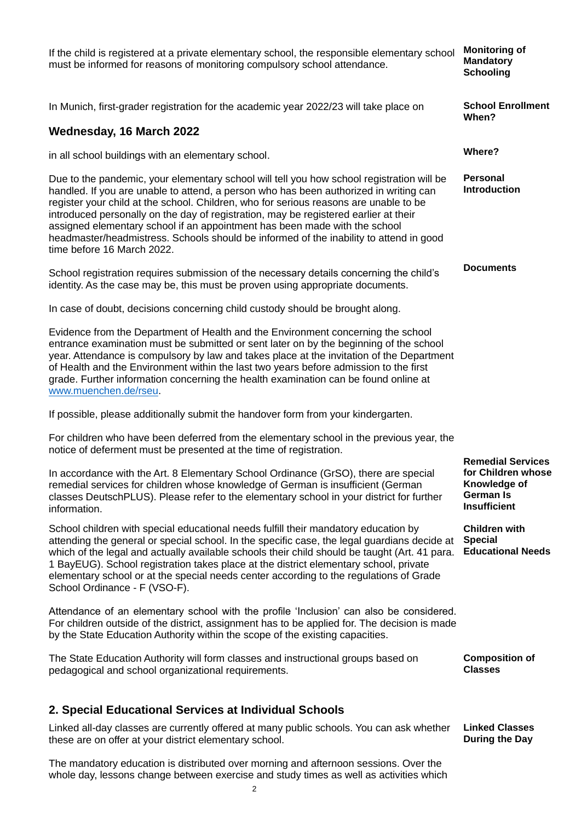If the child is registered at a private elementary school, the responsible elementary school must be informed for reasons of monitoring compulsory school attendance. **Monitoring of Mandatory Schooling** In Munich, first-grader registration for the academic year 2022/23 will take place on **Wednesday, 16 March 2022** in all school buildings with an elementary school. **School Enrollment When? Where?** Due to the pandemic, your elementary school will tell you how school registration will be handled. If you are unable to attend, a person who has been authorized in writing can register your child at the school. Children, who for serious reasons are unable to be introduced personally on the day of registration, may be registered earlier at their assigned elementary school if an appointment has been made with the school headmaster/headmistress. Schools should be informed of the inability to attend in good time before 16 March 2022. School registration requires submission of the necessary details concerning the child's identity. As the case may be, this must be proven using appropriate documents. In case of doubt, decisions concerning child custody should be brought along. Evidence from the Department of Health and the Environment concerning the school entrance examination must be submitted or sent later on by the beginning of the school year. Attendance is compulsory by law and takes place at the invitation of the Department of Health and the Environment within the last two years before admission to the first grade. Further information concerning the health examination can be found online at [www.muenchen.de/rseu.](http://www.muenchen.de/rseu) If possible, please additionally submit the handover form from your kindergarten. For children who have been deferred from the elementary school in the previous year, the notice of deferment must be presented at the time of registration. **Personal Introduction Documents** In accordance with the Art. 8 Elementary School Ordinance (GrSO), there are special remedial services for children whose knowledge of German is insufficient (German classes DeutschPLUS). Please refer to the elementary school in your district for further information. **Remedial Services for Children whose Knowledge of German Is Insufficient** School children with special educational needs fulfill their mandatory education by attending the general or special school. In the specific case, the legal guardians decide at which of the legal and actually available schools their child should be taught (Art. 41 para. 1 BayEUG). School registration takes place at the district elementary school, private elementary school or at the special needs center according to the regulations of Grade School Ordinance - F (VSO-F). Attendance of an elementary school with the profile 'Inclusion' can also be considered. For children outside of the district, assignment has to be applied for. The decision is made by the State Education Authority within the scope of the existing capacities. **Children with Special Educational Needs** The State Education Authority will form classes and instructional groups based on pedagogical and school organizational requirements. **Composition of Classes 2. Special Educational Services at Individual Schools** Linked all-day classes are currently offered at many public schools. You can ask whether these are on offer at your district elementary school. The mandatory education is distributed over morning and afternoon sessions. Over the **Linked Classes During the Day**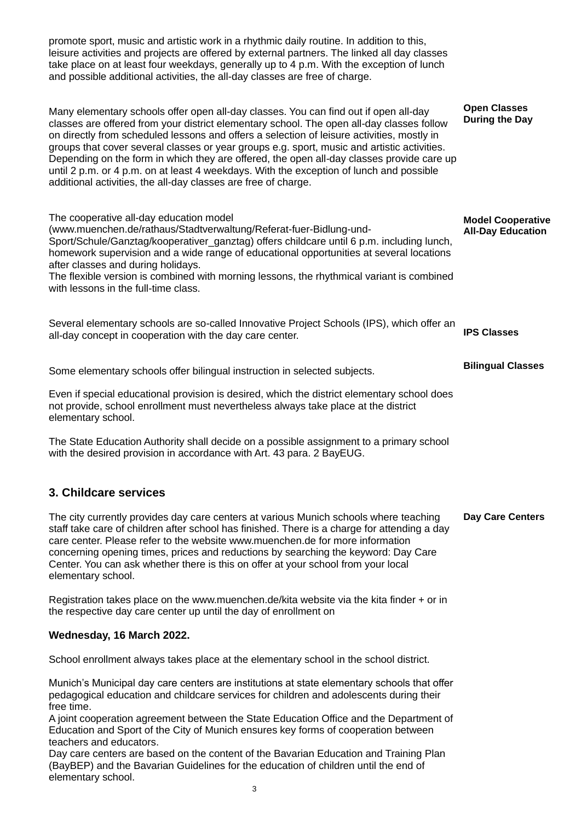promote sport, music and artistic work in a rhythmic daily routine. In addition to this, leisure activities and projects are offered by external partners. The linked all day classes take place on at least four weekdays, generally up to 4 p.m. With the exception of lunch and possible additional activities, the all-day classes are free of charge. Many elementary schools offer open all-day classes. You can find out if open all-day classes are offered from your district elementary school. The open all-day classes follow on directly from scheduled lessons and offers a selection of leisure activities, mostly in groups that cover several classes or year groups e.g. sport, music and artistic activities. Depending on the form in which they are offered, the open all-day classes provide care up until 2 p.m. or 4 p.m. on at least 4 weekdays. With the exception of lunch and possible additional activities, the all-day classes are free of charge. The cooperative all-day education model (www.muenchen.de/rathaus/Stadtverwaltung/Referat-fuer-Bidlung-und-Sport/Schule/Ganztag/kooperativer\_ganztag) offers childcare until 6 p.m. including lunch, homework supervision and a wide range of educational opportunities at several locations after classes and during holidays. The flexible version is combined with morning lessons, the rhythmical variant is combined with lessons in the full-time class. **Open Classes During the Day Model Cooperative All-Day Education**

Several elementary schools are so-called Innovative Project Schools (IPS), which offer an all-day concept in cooperation with the day care center. **IPS Classes**

**Bilingual Classes**

Some elementary schools offer bilingual instruction in selected subjects.

Even if special educational provision is desired, which the district elementary school does not provide, school enrollment must nevertheless always take place at the district elementary school.

The State Education Authority shall decide on a possible assignment to a primary school with the desired provision in accordance with Art. 43 para. 2 BayEUG.

## **3. Childcare services**

The city currently provides day care centers at various Munich schools where teaching staff take care of children after school has finished. There is a charge for attending a day care center. Please refer to the website www.muenchen.de for more information concerning opening times, prices and reductions by searching the keyword: Day Care Center. You can ask whether there is this on offer at your school from your local elementary school. **Day Care Centers**

Registration takes place on the www.muenchen.de/kita website via the kita finder + or in the respective day care center up until the day of enrollment on

#### **Wednesday, 16 March 2022.**

School enrollment always takes place at the elementary school in the school district.

Munich's Municipal day care centers are institutions at state elementary schools that offer pedagogical education and childcare services for children and adolescents during their free time.

A joint cooperation agreement between the State Education Office and the Department of Education and Sport of the City of Munich ensures key forms of cooperation between teachers and educators.

 <sup>3</sup> Day care centers are based on the content of the Bavarian Education and Training Plan (BayBEP) and the Bavarian Guidelines for the education of children until the end of elementary school.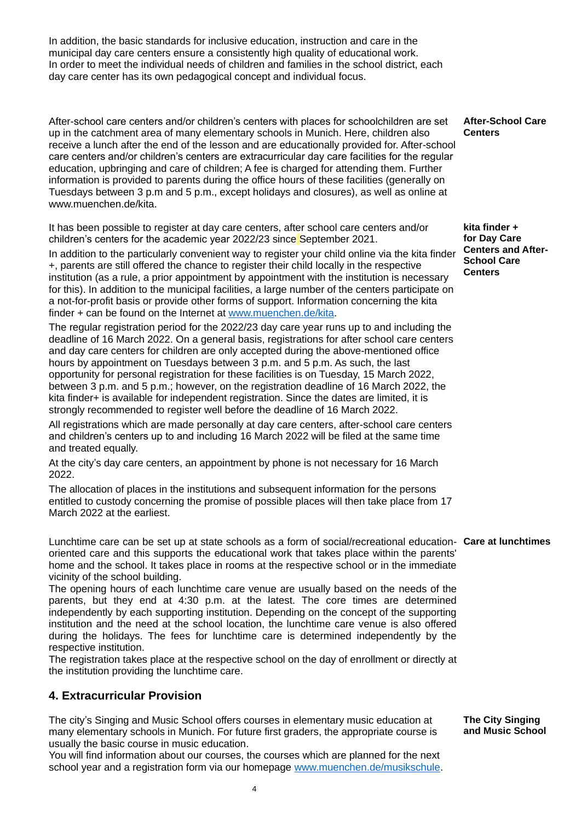In addition, the basic standards for inclusive education, instruction and care in the municipal day care centers ensure a consistently high quality of educational work. In order to meet the individual needs of children and families in the school district, each day care center has its own pedagogical concept and individual focus.

After-school care centers and/or children's centers with places for schoolchildren are set up in the catchment area of many elementary schools in Munich. Here, children also receive a lunch after the end of the lesson and are educationally provided for. After-school care centers and/or children's centers are extracurricular day care facilities for the regular education, upbringing and care of children; A fee is charged for attending them. Further information is provided to parents during the office hours of these facilities (generally on Tuesdays between 3 p.m and 5 p.m., except holidays and closures), as well as online at www.muenchen.de/kita.

It has been possible to register at day care centers, after school care centers and/or children's centers for the academic year 2022/23 since September 2021.

In addition to the particularly convenient way to register your child online via the kita finder +, parents are still offered the chance to register their child locally in the respective institution (as a rule, a prior appointment by appointment with the institution is necessary for this). In addition to the municipal facilities, a large number of the centers participate on a not-for-profit basis or provide other forms of support. Information concerning the kita finder + can be found on the Internet at [www.muenchen.de/kita.](http://www.muenchen.de/kita)

The regular registration period for the 2022/23 day care year runs up to and including the deadline of 16 March 2022. On a general basis, registrations for after school care centers and day care centers for children are only accepted during the above-mentioned office hours by appointment on Tuesdays between 3 p.m. and 5 p.m. As such, the last opportunity for personal registration for these facilities is on Tuesday, 15 March 2022, between 3 p.m. and 5 p.m.; however, on the registration deadline of 16 March 2022, the kita finder+ is available for independent registration. Since the dates are limited, it is strongly recommended to register well before the deadline of 16 March 2022.

All registrations which are made personally at day care centers, after-school care centers and children's centers up to and including 16 March 2022 will be filed at the same time and treated equally.

At the city's day care centers, an appointment by phone is not necessary for 16 March 2022.

The allocation of places in the institutions and subsequent information for the persons entitled to custody concerning the promise of possible places will then take place from 17 March 2022 at the earliest.

Lunchtime care can be set up at state schools as a form of social/recreational education-**Care at lunchtimes** oriented care and this supports the educational work that takes place within the parents' home and the school. It takes place in rooms at the respective school or in the immediate vicinity of the school building.

The opening hours of each lunchtime care venue are usually based on the needs of the parents, but they end at 4:30 p.m. at the latest. The core times are determined independently by each supporting institution. Depending on the concept of the supporting institution and the need at the school location, the lunchtime care venue is also offered during the holidays. The fees for lunchtime care is determined independently by the respective institution.

The registration takes place at the respective school on the day of enrollment or directly at the institution providing the lunchtime care.

## **4. Extracurricular Provision**

The city's Singing and Music School offers courses in elementary music education at many elementary schools in Munich. For future first graders, the appropriate course is usually the basic course in music education.

You will find information about our courses, the courses which are planned for the next school year and a registration form via our homepage [www.muenchen.de/musikschule.](http://www.muenchen.de/musikschule)

**The City Singing and Music School**

**After-School Care Centers**

**kita finder + for Day Care Centers and After-School Care Centers**